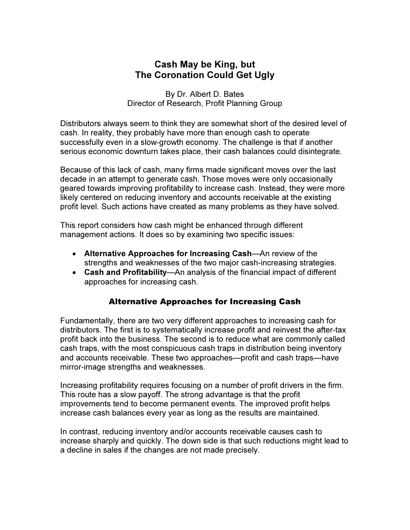## Cash May be King, but The Coronation Could Get Ugly

By Dr. Albert D. Bates Director of Research, Profit Planning Group

Distributors always seem to think they are somewhat short of the desired level of cash. In reality, they probably have more than enough cash to operate successfully even in a slow-growth economy. The challenge is that if another serious economic downturn takes place, their cash balances could disintegrate.

Because of this lack of cash, many firms made significant moves over the last decade in an attempt to generate cash. Those moves were only occasionally geared towards improving profitability to increase cash. Instead, they were more likely centered on reducing inventory and accounts receivable at the existing profit level. Such actions have created as many problems as they have solved.

This report considers how cash might be enhanced through different management actions. It does so by examining two specific issues:

- Alternative Approaches for Increasing Cash—An review of the strengths and weaknesses of the two major cash-increasing strategies.
- Cash and Profitability—An analysis of the financial impact of different approaches for increasing cash.

### Alternative Approaches for Increasing Cash

Fundamentally, there are two very different approaches to increasing cash for distributors. The first is to systematically increase profit and reinvest the after-tax profit back into the business. The second is to reduce what are commonly called cash traps, with the most conspicuous cash traps in distribution being inventory and accounts receivable. These two approaches—profit and cash traps—have mirror-image strengths and weaknesses.

Increasing profitability requires focusing on a number of profit drivers in the firm. This route has a slow payoff. The strong advantage is that the profit improvements tend to become permanent events. The improved profit helps increase cash balances every year as long as the results are maintained.

In contrast, reducing inventory and/or accounts receivable causes cash to increase sharply and quickly. The down side is that such reductions might lead to a decline in sales if the changes are not made precisely.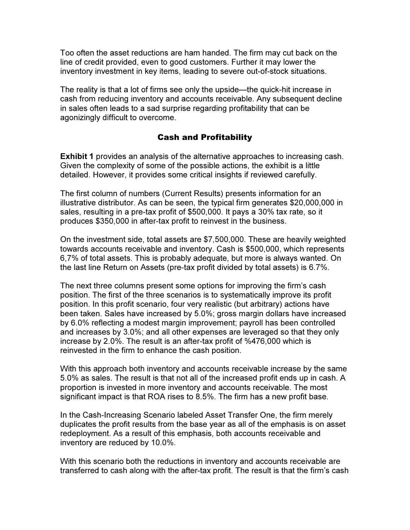Too often the asset reductions are ham handed. The firm may cut back on the line of credit provided, even to good customers. Further it may lower the inventory investment in key items, leading to severe out-of-stock situations.

The reality is that a lot of firms see only the upside—the quick-hit increase in cash from reducing inventory and accounts receivable. Any subsequent decline in sales often leads to a sad surprise regarding profitability that can be agonizingly difficult to overcome.

#### Cash and Profitability

Exhibit 1 provides an analysis of the alternative approaches to increasing cash. Given the complexity of some of the possible actions, the exhibit is a little detailed. However, it provides some critical insights if reviewed carefully.

The first column of numbers (Current Results) presents information for an illustrative distributor. As can be seen, the typical firm generates \$20,000,000 in sales, resulting in a pre-tax profit of \$500,000. It pays a 30% tax rate, so it produces \$350,000 in after-tax profit to reinvest in the business.

On the investment side, total assets are \$7,500,000. These are heavily weighted towards accounts receivable and inventory. Cash is \$500,000, which represents 6,7% of total assets. This is probably adequate, but more is always wanted. On the last line Return on Assets (pre-tax profit divided by total assets) is 6.7%.

The next three columns present some options for improving the firm's cash position. The first of the three scenarios is to systematically improve its profit position. In this profit scenario, four very realistic (but arbitrary) actions have been taken. Sales have increased by 5.0%; gross margin dollars have increased by 6.0% reflecting a modest margin improvement; payroll has been controlled and increases by 3.0%; and all other expenses are leveraged so that they only increase by 2.0%. The result is an after-tax profit of %476,000 which is reinvested in the firm to enhance the cash position.

With this approach both inventory and accounts receivable increase by the same 5.0% as sales. The result is that not all of the increased profit ends up in cash. A proportion is invested in more inventory and accounts receivable. The most significant impact is that ROA rises to 8.5%. The firm has a new profit base.

In the Cash-Increasing Scenario labeled Asset Transfer One, the firm merely duplicates the profit results from the base year as all of the emphasis is on asset redeployment. As a result of this emphasis, both accounts receivable and inventory are reduced by 10.0%.

With this scenario both the reductions in inventory and accounts receivable are transferred to cash along with the after-tax profit. The result is that the firm's cash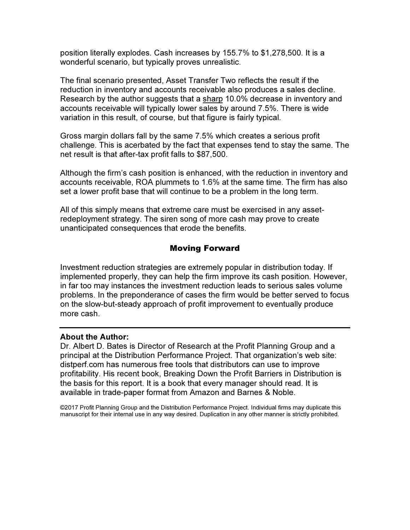position literally explodes. Cash increases by 155.7% to \$1,278,500. It is a wonderful scenario, but typically proves unrealistic.

The final scenario presented, Asset Transfer Two reflects the result if the reduction in inventory and accounts receivable also produces a sales decline. Research by the author suggests that a sharp 10.0% decrease in inventory and accounts receivable will typically lower sales by around 7.5%. There is wide variation in this result, of course, but that figure is fairly typical.

Gross margin dollars fall by the same 7.5% which creates a serious profit challenge. This is acerbated by the fact that expenses tend to stay the same. The net result is that after-tax profit falls to \$87,500.

Although the firm's cash position is enhanced, with the reduction in inventory and accounts receivable, ROA plummets to 1.6% at the same time. The firm has also set a lower profit base that will continue to be a problem in the long term.

All of this simply means that extreme care must be exercised in any assetredeployment strategy. The siren song of more cash may prove to create unanticipated consequences that erode the benefits.

## Moving Forward

Investment reduction strategies are extremely popular in distribution today. If implemented properly, they can help the firm improve its cash position. However, in far too may instances the investment reduction leads to serious sales volume problems. In the preponderance of cases the firm would be better served to focus on the slow-but-steady approach of profit improvement to eventually produce more cash.

#### About the Author:

Dr. Albert D. Bates is Director of Research at the Profit Planning Group and a principal at the Distribution Performance Project. That organization's web site: distperf.com has numerous free tools that distributors can use to improve profitability. His recent book, Breaking Down the Profit Barriers in Distribution is the basis for this report. It is a book that every manager should read. It is available in trade-paper format from Amazon and Barnes & Noble.

©2017 Profit Planning Group and the Distribution Performance Project. Individual firms may duplicate this manuscript for their internal use in any way desired. Duplication in any other manner is strictly prohibited.